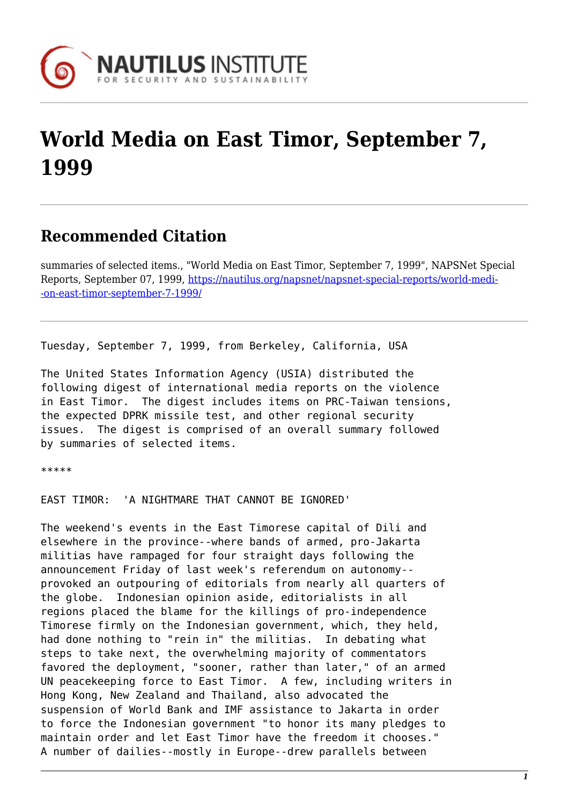

# **World Media on East Timor, September 7, 1999**

# **Recommended Citation**

summaries of selected items., "World Media on East Timor, September 7, 1999", NAPSNet Special Reports, September 07, 1999, [https://nautilus.org/napsnet/napsnet-special-reports/world-medi-](https://nautilus.org/napsnet/napsnet-special-reports/world-media-on-east-timor-september-7-1999/) [-on-east-timor-september-7-1999/](https://nautilus.org/napsnet/napsnet-special-reports/world-media-on-east-timor-september-7-1999/)

Tuesday, September 7, 1999, from Berkeley, California, USA

The United States Information Agency (USIA) distributed the following digest of international media reports on the violence in East Timor. The digest includes items on PRC-Taiwan tensions, the expected DPRK missile test, and other regional security issues. The digest is comprised of an overall summary followed by summaries of selected items.

\*\*\*\*\*

EAST TIMOR: 'A NIGHTMARE THAT CANNOT BE IGNORED'

The weekend's events in the East Timorese capital of Dili and elsewhere in the province--where bands of armed, pro-Jakarta militias have rampaged for four straight days following the announcement Friday of last week's referendum on autonomy- provoked an outpouring of editorials from nearly all quarters of the globe. Indonesian opinion aside, editorialists in all regions placed the blame for the killings of pro-independence Timorese firmly on the Indonesian government, which, they held, had done nothing to "rein in" the militias. In debating what steps to take next, the overwhelming majority of commentators favored the deployment, "sooner, rather than later," of an armed UN peacekeeping force to East Timor. A few, including writers in Hong Kong, New Zealand and Thailand, also advocated the suspension of World Bank and IMF assistance to Jakarta in order to force the Indonesian government "to honor its many pledges to maintain order and let East Timor have the freedom it chooses." A number of dailies--mostly in Europe--drew parallels between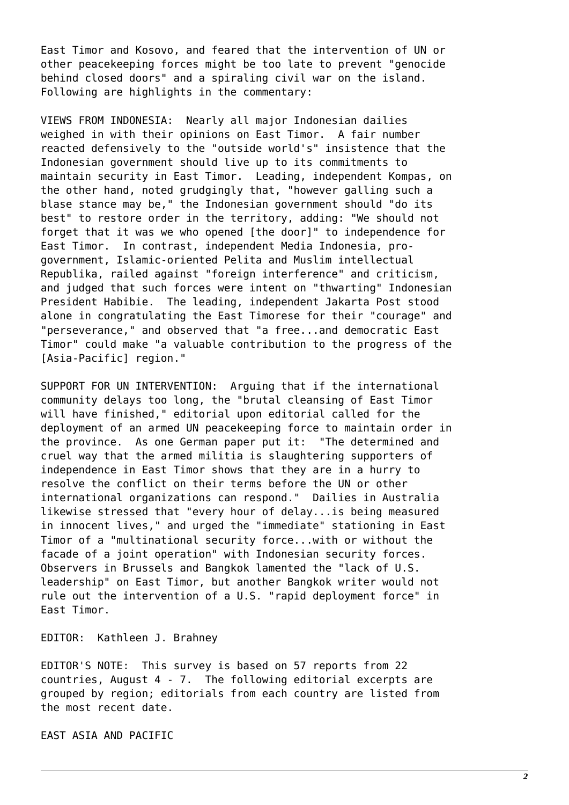East Timor and Kosovo, and feared that the intervention of UN or other peacekeeping forces might be too late to prevent "genocide behind closed doors" and a spiraling civil war on the island. Following are highlights in the commentary:

VIEWS FROM INDONESIA: Nearly all major Indonesian dailies weighed in with their opinions on East Timor. A fair number reacted defensively to the "outside world's" insistence that the Indonesian government should live up to its commitments to maintain security in East Timor. Leading, independent Kompas, on the other hand, noted grudgingly that, "however galling such a blase stance may be," the Indonesian government should "do its best" to restore order in the territory, adding: "We should not forget that it was we who opened [the door]" to independence for East Timor. In contrast, independent Media Indonesia, progovernment, Islamic-oriented Pelita and Muslim intellectual Republika, railed against "foreign interference" and criticism, and judged that such forces were intent on "thwarting" Indonesian President Habibie. The leading, independent Jakarta Post stood alone in congratulating the East Timorese for their "courage" and "perseverance," and observed that "a free...and democratic East Timor" could make "a valuable contribution to the progress of the [Asia-Pacific] region."

SUPPORT FOR UN INTERVENTION: Arguing that if the international community delays too long, the "brutal cleansing of East Timor will have finished," editorial upon editorial called for the deployment of an armed UN peacekeeping force to maintain order in the province. As one German paper put it: "The determined and cruel way that the armed militia is slaughtering supporters of independence in East Timor shows that they are in a hurry to resolve the conflict on their terms before the UN or other international organizations can respond." Dailies in Australia likewise stressed that "every hour of delay...is being measured in innocent lives," and urged the "immediate" stationing in East Timor of a "multinational security force...with or without the facade of a joint operation" with Indonesian security forces. Observers in Brussels and Bangkok lamented the "lack of U.S. leadership" on East Timor, but another Bangkok writer would not rule out the intervention of a U.S. "rapid deployment force" in East Timor.

EDITOR: Kathleen J. Brahney

EDITOR'S NOTE: This survey is based on 57 reports from 22 countries, August 4 - 7. The following editorial excerpts are grouped by region; editorials from each country are listed from the most recent date.

EAST ASIA AND PACIFIC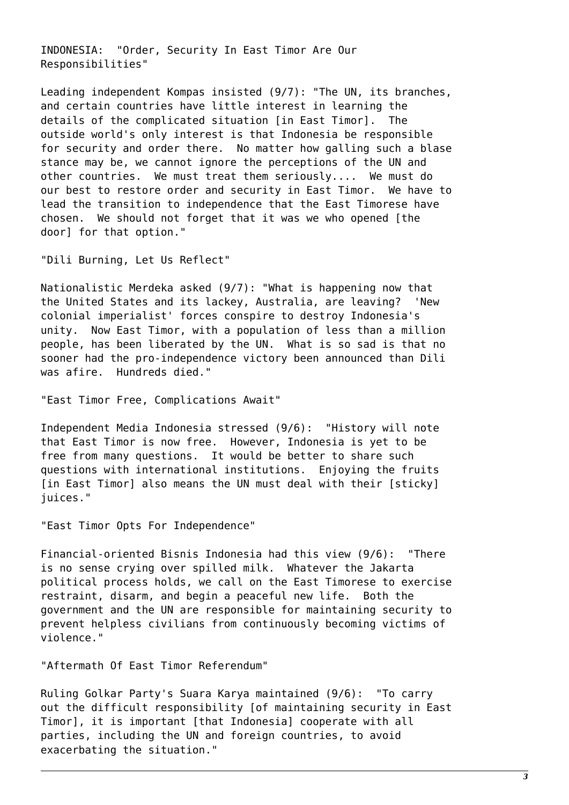INDONESIA: "Order, Security In East Timor Are Our Responsibilities"

Leading independent Kompas insisted (9/7): "The UN, its branches, and certain countries have little interest in learning the details of the complicated situation [in East Timor]. The outside world's only interest is that Indonesia be responsible for security and order there. No matter how galling such a blase stance may be, we cannot ignore the perceptions of the UN and other countries. We must treat them seriously.... We must do our best to restore order and security in East Timor. We have to lead the transition to independence that the East Timorese have chosen. We should not forget that it was we who opened [the door] for that option."

"Dili Burning, Let Us Reflect"

Nationalistic Merdeka asked (9/7): "What is happening now that the United States and its lackey, Australia, are leaving? 'New colonial imperialist' forces conspire to destroy Indonesia's unity. Now East Timor, with a population of less than a million people, has been liberated by the UN. What is so sad is that no sooner had the pro-independence victory been announced than Dili was afire. Hundreds died."

"East Timor Free, Complications Await"

Independent Media Indonesia stressed (9/6): "History will note that East Timor is now free. However, Indonesia is yet to be free from many questions. It would be better to share such questions with international institutions. Enjoying the fruits [in East Timor] also means the UN must deal with their [sticky] juices."

"East Timor Opts For Independence"

Financial-oriented Bisnis Indonesia had this view (9/6): "There is no sense crying over spilled milk. Whatever the Jakarta political process holds, we call on the East Timorese to exercise restraint, disarm, and begin a peaceful new life. Both the government and the UN are responsible for maintaining security to prevent helpless civilians from continuously becoming victims of violence."

"Aftermath Of East Timor Referendum"

Ruling Golkar Party's Suara Karya maintained (9/6): "To carry out the difficult responsibility [of maintaining security in East Timor], it is important [that Indonesia] cooperate with all parties, including the UN and foreign countries, to avoid exacerbating the situation."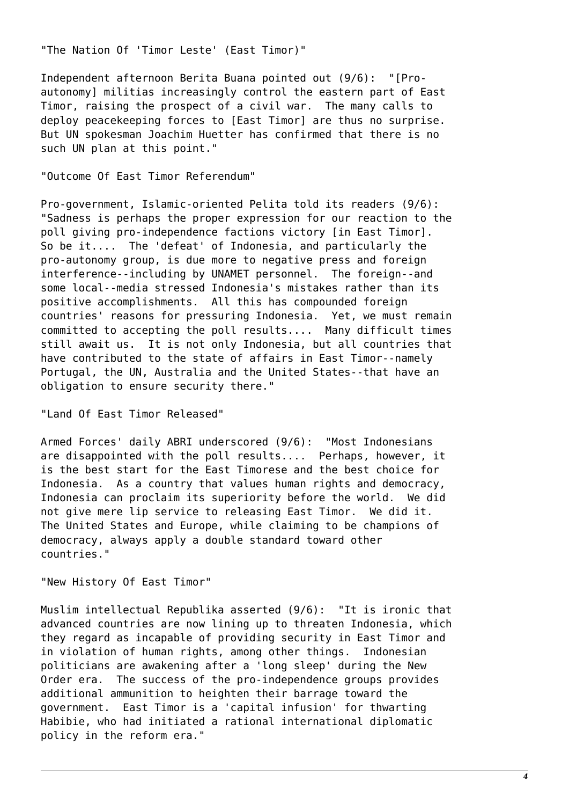"The Nation Of 'Timor Leste' (East Timor)"

Independent afternoon Berita Buana pointed out (9/6): "[Proautonomy] militias increasingly control the eastern part of East Timor, raising the prospect of a civil war. The many calls to deploy peacekeeping forces to [East Timor] are thus no surprise. But UN spokesman Joachim Huetter has confirmed that there is no such UN plan at this point."

"Outcome Of East Timor Referendum"

Pro-government, Islamic-oriented Pelita told its readers (9/6): "Sadness is perhaps the proper expression for our reaction to the poll giving pro-independence factions victory [in East Timor]. So be it.... The 'defeat' of Indonesia, and particularly the pro-autonomy group, is due more to negative press and foreign interference--including by UNAMET personnel. The foreign--and some local--media stressed Indonesia's mistakes rather than its positive accomplishments. All this has compounded foreign countries' reasons for pressuring Indonesia. Yet, we must remain committed to accepting the poll results.... Many difficult times still await us. It is not only Indonesia, but all countries that have contributed to the state of affairs in East Timor--namely Portugal, the UN, Australia and the United States--that have an obligation to ensure security there."

"Land Of East Timor Released"

Armed Forces' daily ABRI underscored (9/6): "Most Indonesians are disappointed with the poll results.... Perhaps, however, it is the best start for the East Timorese and the best choice for Indonesia. As a country that values human rights and democracy, Indonesia can proclaim its superiority before the world. We did not give mere lip service to releasing East Timor. We did it. The United States and Europe, while claiming to be champions of democracy, always apply a double standard toward other countries."

"New History Of East Timor"

Muslim intellectual Republika asserted (9/6): "It is ironic that advanced countries are now lining up to threaten Indonesia, which they regard as incapable of providing security in East Timor and in violation of human rights, among other things. Indonesian politicians are awakening after a 'long sleep' during the New Order era. The success of the pro-independence groups provides additional ammunition to heighten their barrage toward the government. East Timor is a 'capital infusion' for thwarting Habibie, who had initiated a rational international diplomatic policy in the reform era."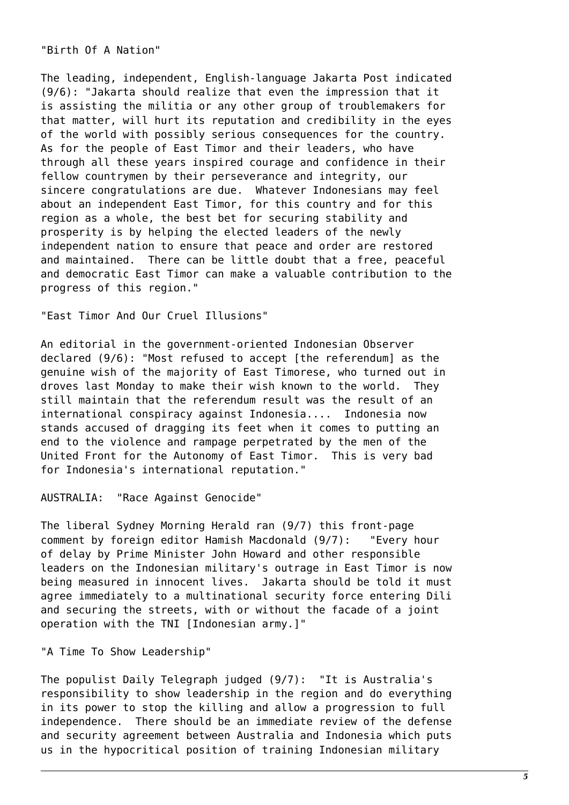"Birth Of A Nation"

The leading, independent, English-language Jakarta Post indicated (9/6): "Jakarta should realize that even the impression that it is assisting the militia or any other group of troublemakers for that matter, will hurt its reputation and credibility in the eyes of the world with possibly serious consequences for the country. As for the people of East Timor and their leaders, who have through all these years inspired courage and confidence in their fellow countrymen by their perseverance and integrity, our sincere congratulations are due. Whatever Indonesians may feel about an independent East Timor, for this country and for this region as a whole, the best bet for securing stability and prosperity is by helping the elected leaders of the newly independent nation to ensure that peace and order are restored and maintained. There can be little doubt that a free, peaceful and democratic East Timor can make a valuable contribution to the progress of this region."

"East Timor And Our Cruel Illusions"

An editorial in the government-oriented Indonesian Observer declared (9/6): "Most refused to accept [the referendum] as the genuine wish of the majority of East Timorese, who turned out in droves last Monday to make their wish known to the world. They still maintain that the referendum result was the result of an international conspiracy against Indonesia.... Indonesia now stands accused of dragging its feet when it comes to putting an end to the violence and rampage perpetrated by the men of the United Front for the Autonomy of East Timor. This is very bad for Indonesia's international reputation."

AUSTRALIA: "Race Against Genocide"

The liberal Sydney Morning Herald ran (9/7) this front-page comment by foreign editor Hamish Macdonald (9/7): "Every hour of delay by Prime Minister John Howard and other responsible leaders on the Indonesian military's outrage in East Timor is now being measured in innocent lives. Jakarta should be told it must agree immediately to a multinational security force entering Dili and securing the streets, with or without the facade of a joint operation with the TNI [Indonesian army.]"

"A Time To Show Leadership"

The populist Daily Telegraph judged (9/7): "It is Australia's responsibility to show leadership in the region and do everything in its power to stop the killing and allow a progression to full independence. There should be an immediate review of the defense and security agreement between Australia and Indonesia which puts us in the hypocritical position of training Indonesian military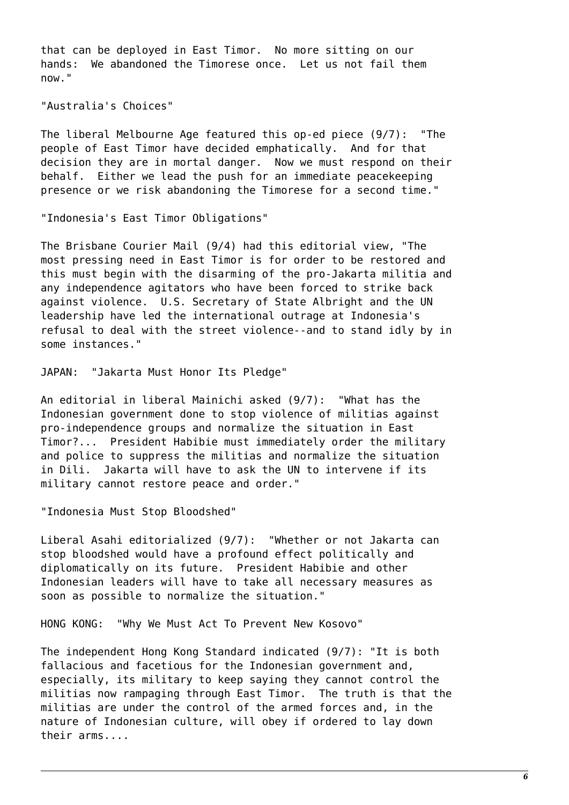that can be deployed in East Timor. No more sitting on our hands: We abandoned the Timorese once. Let us not fail them now."

"Australia's Choices"

The liberal Melbourne Age featured this op-ed piece (9/7): "The people of East Timor have decided emphatically. And for that decision they are in mortal danger. Now we must respond on their behalf. Either we lead the push for an immediate peacekeeping presence or we risk abandoning the Timorese for a second time."

"Indonesia's East Timor Obligations"

The Brisbane Courier Mail (9/4) had this editorial view, "The most pressing need in East Timor is for order to be restored and this must begin with the disarming of the pro-Jakarta militia and any independence agitators who have been forced to strike back against violence. U.S. Secretary of State Albright and the UN leadership have led the international outrage at Indonesia's refusal to deal with the street violence--and to stand idly by in some instances."

JAPAN: "Jakarta Must Honor Its Pledge"

An editorial in liberal Mainichi asked (9/7): "What has the Indonesian government done to stop violence of militias against pro-independence groups and normalize the situation in East Timor?... President Habibie must immediately order the military and police to suppress the militias and normalize the situation in Dili. Jakarta will have to ask the UN to intervene if its military cannot restore peace and order."

"Indonesia Must Stop Bloodshed"

Liberal Asahi editorialized (9/7): "Whether or not Jakarta can stop bloodshed would have a profound effect politically and diplomatically on its future. President Habibie and other Indonesian leaders will have to take all necessary measures as soon as possible to normalize the situation."

HONG KONG: "Why We Must Act To Prevent New Kosovo"

The independent Hong Kong Standard indicated (9/7): "It is both fallacious and facetious for the Indonesian government and, especially, its military to keep saying they cannot control the militias now rampaging through East Timor. The truth is that the militias are under the control of the armed forces and, in the nature of Indonesian culture, will obey if ordered to lay down their arms....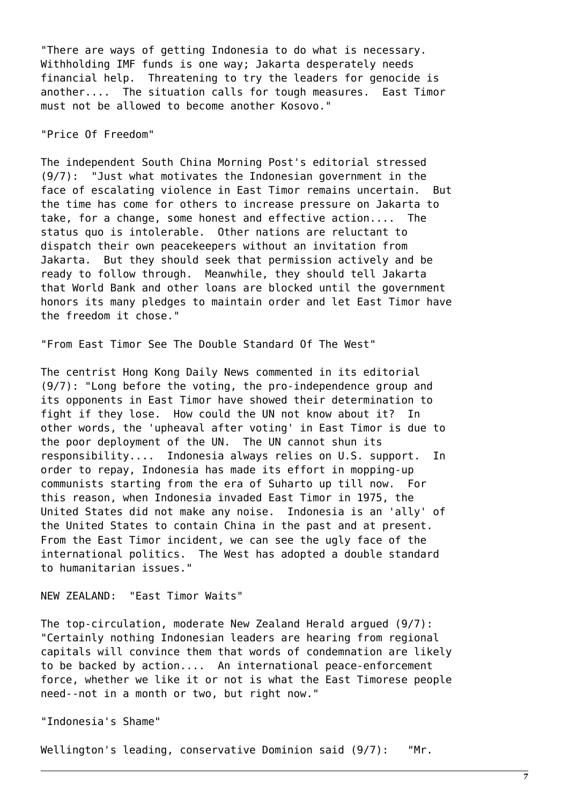"There are ways of getting Indonesia to do what is necessary. Withholding IMF funds is one way; Jakarta desperately needs financial help. Threatening to try the leaders for genocide is another.... The situation calls for tough measures. East Timor must not be allowed to become another Kosovo."

# "Price Of Freedom"

The independent South China Morning Post's editorial stressed (9/7): "Just what motivates the Indonesian government in the face of escalating violence in East Timor remains uncertain. But the time has come for others to increase pressure on Jakarta to take, for a change, some honest and effective action.... The status quo is intolerable. Other nations are reluctant to dispatch their own peacekeepers without an invitation from Jakarta. But they should seek that permission actively and be ready to follow through. Meanwhile, they should tell Jakarta that World Bank and other loans are blocked until the government honors its many pledges to maintain order and let East Timor have the freedom it chose."

"From East Timor See The Double Standard Of The West"

The centrist Hong Kong Daily News commented in its editorial (9/7): "Long before the voting, the pro-independence group and its opponents in East Timor have showed their determination to fight if they lose. How could the UN not know about it? In other words, the 'upheaval after voting' in East Timor is due to the poor deployment of the UN. The UN cannot shun its responsibility.... Indonesia always relies on U.S. support. In order to repay, Indonesia has made its effort in mopping-up communists starting from the era of Suharto up till now. For this reason, when Indonesia invaded East Timor in 1975, the United States did not make any noise. Indonesia is an 'ally' of the United States to contain China in the past and at present. From the East Timor incident, we can see the ugly face of the international politics. The West has adopted a double standard to humanitarian issues."

NEW ZEALAND: "East Timor Waits"

The top-circulation, moderate New Zealand Herald argued (9/7): "Certainly nothing Indonesian leaders are hearing from regional capitals will convince them that words of condemnation are likely to be backed by action.... An international peace-enforcement force, whether we like it or not is what the East Timorese people need--not in a month or two, but right now."

"Indonesia's Shame"

Wellington's leading, conservative Dominion said (9/7): "Mr.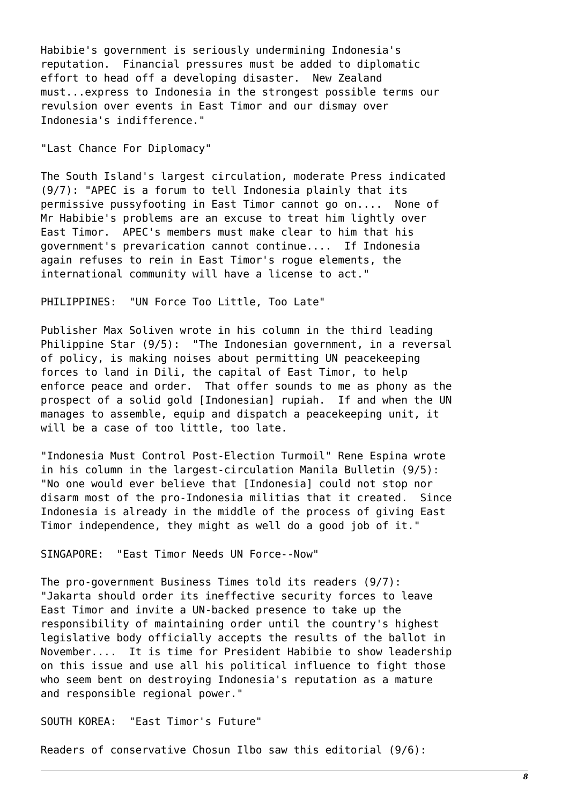Habibie's government is seriously undermining Indonesia's reputation. Financial pressures must be added to diplomatic effort to head off a developing disaster. New Zealand must...express to Indonesia in the strongest possible terms our revulsion over events in East Timor and our dismay over Indonesia's indifference."

"Last Chance For Diplomacy"

The South Island's largest circulation, moderate Press indicated (9/7): "APEC is a forum to tell Indonesia plainly that its permissive pussyfooting in East Timor cannot go on.... None of Mr Habibie's problems are an excuse to treat him lightly over East Timor. APEC's members must make clear to him that his government's prevarication cannot continue.... If Indonesia again refuses to rein in East Timor's rogue elements, the international community will have a license to act."

PHILIPPINES: "UN Force Too Little, Too Late"

Publisher Max Soliven wrote in his column in the third leading Philippine Star (9/5): "The Indonesian government, in a reversal of policy, is making noises about permitting UN peacekeeping forces to land in Dili, the capital of East Timor, to help enforce peace and order. That offer sounds to me as phony as the prospect of a solid gold [Indonesian] rupiah. If and when the UN manages to assemble, equip and dispatch a peacekeeping unit, it will be a case of too little, too late.

"Indonesia Must Control Post-Election Turmoil" Rene Espina wrote in his column in the largest-circulation Manila Bulletin (9/5): "No one would ever believe that [Indonesia] could not stop nor disarm most of the pro-Indonesia militias that it created. Since Indonesia is already in the middle of the process of giving East Timor independence, they might as well do a good job of it."

SINGAPORE: "East Timor Needs UN Force--Now"

The pro-government Business Times told its readers (9/7): "Jakarta should order its ineffective security forces to leave East Timor and invite a UN-backed presence to take up the responsibility of maintaining order until the country's highest legislative body officially accepts the results of the ballot in November.... It is time for President Habibie to show leadership on this issue and use all his political influence to fight those who seem bent on destroying Indonesia's reputation as a mature and responsible regional power."

SOUTH KOREA: "East Timor's Future"

Readers of conservative Chosun Ilbo saw this editorial (9/6):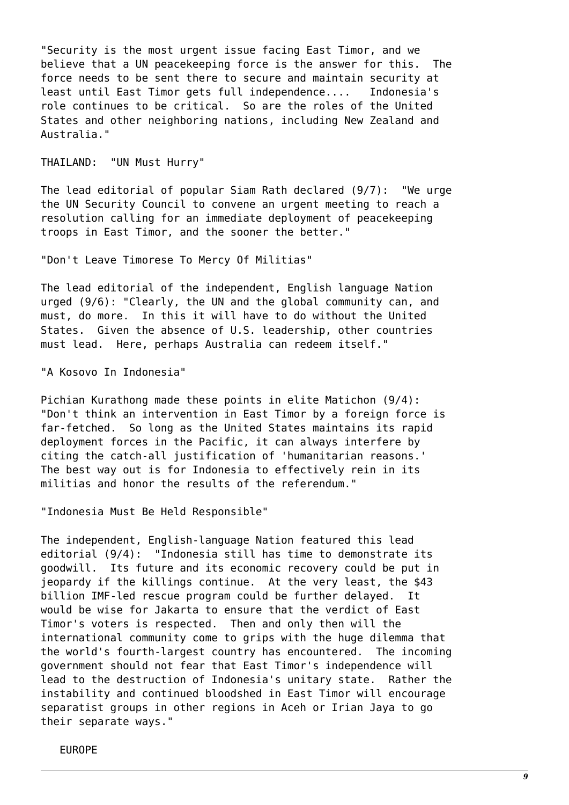"Security is the most urgent issue facing East Timor, and we believe that a UN peacekeeping force is the answer for this. The force needs to be sent there to secure and maintain security at least until East Timor gets full independence.... Indonesia's role continues to be critical. So are the roles of the United States and other neighboring nations, including New Zealand and Australia."

THAILAND: "UN Must Hurry"

The lead editorial of popular Siam Rath declared (9/7): "We urge the UN Security Council to convene an urgent meeting to reach a resolution calling for an immediate deployment of peacekeeping troops in East Timor, and the sooner the better."

"Don't Leave Timorese To Mercy Of Militias"

The lead editorial of the independent, English language Nation urged (9/6): "Clearly, the UN and the global community can, and must, do more. In this it will have to do without the United States. Given the absence of U.S. leadership, other countries must lead. Here, perhaps Australia can redeem itself."

"A Kosovo In Indonesia"

Pichian Kurathong made these points in elite Matichon (9/4): "Don't think an intervention in East Timor by a foreign force is far-fetched. So long as the United States maintains its rapid deployment forces in the Pacific, it can always interfere by citing the catch-all justification of 'humanitarian reasons.' The best way out is for Indonesia to effectively rein in its militias and honor the results of the referendum."

"Indonesia Must Be Held Responsible"

The independent, English-language Nation featured this lead editorial (9/4): "Indonesia still has time to demonstrate its goodwill. Its future and its economic recovery could be put in jeopardy if the killings continue. At the very least, the \$43 billion IMF-led rescue program could be further delayed. It would be wise for Jakarta to ensure that the verdict of East Timor's voters is respected. Then and only then will the international community come to grips with the huge dilemma that the world's fourth-largest country has encountered. The incoming government should not fear that East Timor's independence will lead to the destruction of Indonesia's unitary state. Rather the instability and continued bloodshed in East Timor will encourage separatist groups in other regions in Aceh or Irian Jaya to go their separate ways."

EUROPE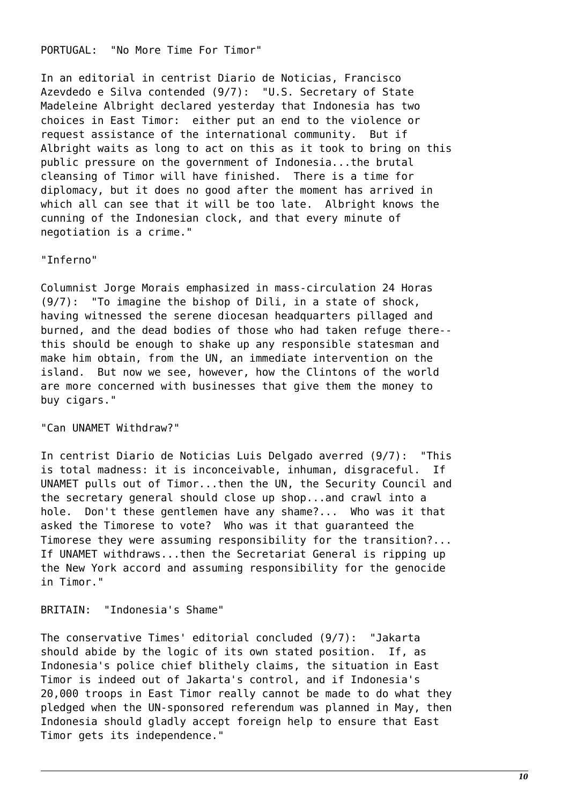#### PORTUGAL: "No More Time For Timor"

In an editorial in centrist Diario de Noticias, Francisco Azevdedo e Silva contended (9/7): "U.S. Secretary of State Madeleine Albright declared yesterday that Indonesia has two choices in East Timor: either put an end to the violence or request assistance of the international community. But if Albright waits as long to act on this as it took to bring on this public pressure on the government of Indonesia...the brutal cleansing of Timor will have finished. There is a time for diplomacy, but it does no good after the moment has arrived in which all can see that it will be too late. Albright knows the cunning of the Indonesian clock, and that every minute of negotiation is a crime."

#### "Inferno"

Columnist Jorge Morais emphasized in mass-circulation 24 Horas (9/7): "To imagine the bishop of Dili, in a state of shock, having witnessed the serene diocesan headquarters pillaged and burned, and the dead bodies of those who had taken refuge there- this should be enough to shake up any responsible statesman and make him obtain, from the UN, an immediate intervention on the island. But now we see, however, how the Clintons of the world are more concerned with businesses that give them the money to buy cigars."

#### "Can UNAMET Withdraw?"

In centrist Diario de Noticias Luis Delgado averred (9/7): "This is total madness: it is inconceivable, inhuman, disgraceful. If UNAMET pulls out of Timor...then the UN, the Security Council and the secretary general should close up shop...and crawl into a hole. Don't these gentlemen have any shame?... Who was it that asked the Timorese to vote? Who was it that guaranteed the Timorese they were assuming responsibility for the transition?... If UNAMET withdraws...then the Secretariat General is ripping up the New York accord and assuming responsibility for the genocide in Timor."

#### BRITAIN: "Indonesia's Shame"

The conservative Times' editorial concluded (9/7): "Jakarta should abide by the logic of its own stated position. If, as Indonesia's police chief blithely claims, the situation in East Timor is indeed out of Jakarta's control, and if Indonesia's 20,000 troops in East Timor really cannot be made to do what they pledged when the UN-sponsored referendum was planned in May, then Indonesia should gladly accept foreign help to ensure that East Timor gets its independence."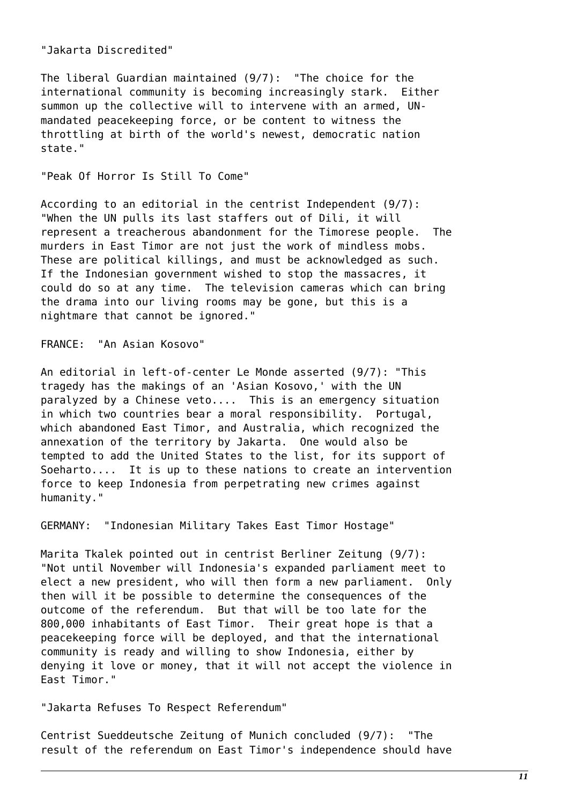"Jakarta Discredited"

The liberal Guardian maintained (9/7): "The choice for the international community is becoming increasingly stark. Either summon up the collective will to intervene with an armed, UNmandated peacekeeping force, or be content to witness the throttling at birth of the world's newest, democratic nation state."

# "Peak Of Horror Is Still To Come"

According to an editorial in the centrist Independent (9/7): "When the UN pulls its last staffers out of Dili, it will represent a treacherous abandonment for the Timorese people. The murders in East Timor are not just the work of mindless mobs. These are political killings, and must be acknowledged as such. If the Indonesian government wished to stop the massacres, it could do so at any time. The television cameras which can bring the drama into our living rooms may be gone, but this is a nightmare that cannot be ignored."

FRANCE: "An Asian Kosovo"

An editorial in left-of-center Le Monde asserted (9/7): "This tragedy has the makings of an 'Asian Kosovo,' with the UN paralyzed by a Chinese veto.... This is an emergency situation in which two countries bear a moral responsibility. Portugal, which abandoned East Timor, and Australia, which recognized the annexation of the territory by Jakarta. One would also be tempted to add the United States to the list, for its support of Soeharto.... It is up to these nations to create an intervention force to keep Indonesia from perpetrating new crimes against humanity."

GERMANY: "Indonesian Military Takes East Timor Hostage"

Marita Tkalek pointed out in centrist Berliner Zeitung (9/7): "Not until November will Indonesia's expanded parliament meet to elect a new president, who will then form a new parliament. Only then will it be possible to determine the consequences of the outcome of the referendum. But that will be too late for the 800,000 inhabitants of East Timor. Their great hope is that a peacekeeping force will be deployed, and that the international community is ready and willing to show Indonesia, either by denying it love or money, that it will not accept the violence in East Timor."

"Jakarta Refuses To Respect Referendum"

Centrist Sueddeutsche Zeitung of Munich concluded (9/7): "The result of the referendum on East Timor's independence should have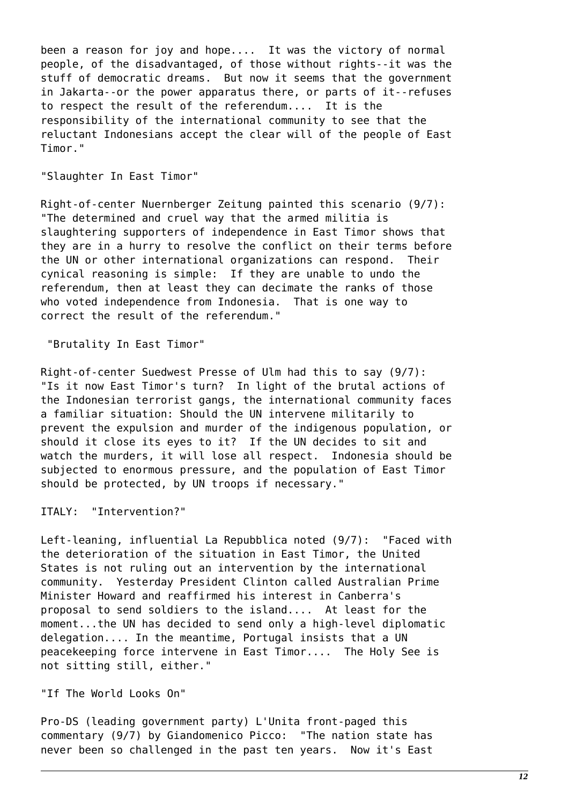been a reason for joy and hope.... It was the victory of normal people, of the disadvantaged, of those without rights--it was the stuff of democratic dreams. But now it seems that the government in Jakarta--or the power apparatus there, or parts of it--refuses to respect the result of the referendum.... It is the responsibility of the international community to see that the reluctant Indonesians accept the clear will of the people of East Timor."

# "Slaughter In East Timor"

Right-of-center Nuernberger Zeitung painted this scenario (9/7): "The determined and cruel way that the armed militia is slaughtering supporters of independence in East Timor shows that they are in a hurry to resolve the conflict on their terms before the UN or other international organizations can respond. Their cynical reasoning is simple: If they are unable to undo the referendum, then at least they can decimate the ranks of those who voted independence from Indonesia. That is one way to correct the result of the referendum."

"Brutality In East Timor"

Right-of-center Suedwest Presse of Ulm had this to say (9/7): "Is it now East Timor's turn? In light of the brutal actions of the Indonesian terrorist gangs, the international community faces a familiar situation: Should the UN intervene militarily to prevent the expulsion and murder of the indigenous population, or should it close its eyes to it? If the UN decides to sit and watch the murders, it will lose all respect. Indonesia should be subjected to enormous pressure, and the population of East Timor should be protected, by UN troops if necessary."

ITALY: "Intervention?"

Left-leaning, influential La Repubblica noted (9/7): "Faced with the deterioration of the situation in East Timor, the United States is not ruling out an intervention by the international community. Yesterday President Clinton called Australian Prime Minister Howard and reaffirmed his interest in Canberra's proposal to send soldiers to the island.... At least for the moment...the UN has decided to send only a high-level diplomatic delegation.... In the meantime, Portugal insists that a UN peacekeeping force intervene in East Timor.... The Holy See is not sitting still, either."

"If The World Looks On"

Pro-DS (leading government party) L'Unita front-paged this commentary (9/7) by Giandomenico Picco: "The nation state has never been so challenged in the past ten years. Now it's East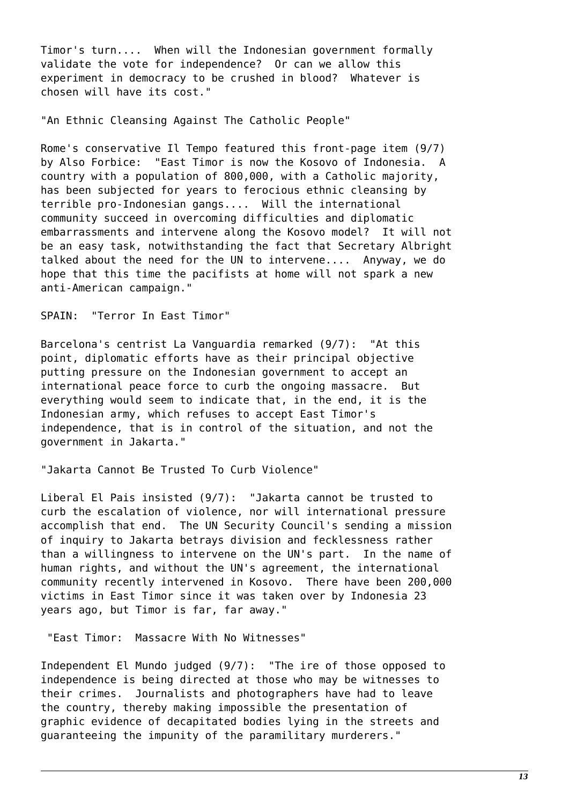Timor's turn.... When will the Indonesian government formally validate the vote for independence? Or can we allow this experiment in democracy to be crushed in blood? Whatever is chosen will have its cost."

"An Ethnic Cleansing Against The Catholic People"

Rome's conservative Il Tempo featured this front-page item (9/7) by Also Forbice: "East Timor is now the Kosovo of Indonesia. A country with a population of 800,000, with a Catholic majority, has been subjected for years to ferocious ethnic cleansing by terrible pro-Indonesian gangs.... Will the international community succeed in overcoming difficulties and diplomatic embarrassments and intervene along the Kosovo model? It will not be an easy task, notwithstanding the fact that Secretary Albright talked about the need for the UN to intervene.... Anyway, we do hope that this time the pacifists at home will not spark a new anti-American campaign."

SPAIN: "Terror In East Timor"

Barcelona's centrist La Vanguardia remarked (9/7): "At this point, diplomatic efforts have as their principal objective putting pressure on the Indonesian government to accept an international peace force to curb the ongoing massacre. But everything would seem to indicate that, in the end, it is the Indonesian army, which refuses to accept East Timor's independence, that is in control of the situation, and not the government in Jakarta."

"Jakarta Cannot Be Trusted To Curb Violence"

Liberal El Pais insisted (9/7): "Jakarta cannot be trusted to curb the escalation of violence, nor will international pressure accomplish that end. The UN Security Council's sending a mission of inquiry to Jakarta betrays division and fecklessness rather than a willingness to intervene on the UN's part. In the name of human rights, and without the UN's agreement, the international community recently intervened in Kosovo. There have been 200,000 victims in East Timor since it was taken over by Indonesia 23 years ago, but Timor is far, far away."

"East Timor: Massacre With No Witnesses"

Independent El Mundo judged (9/7): "The ire of those opposed to independence is being directed at those who may be witnesses to their crimes. Journalists and photographers have had to leave the country, thereby making impossible the presentation of graphic evidence of decapitated bodies lying in the streets and guaranteeing the impunity of the paramilitary murderers."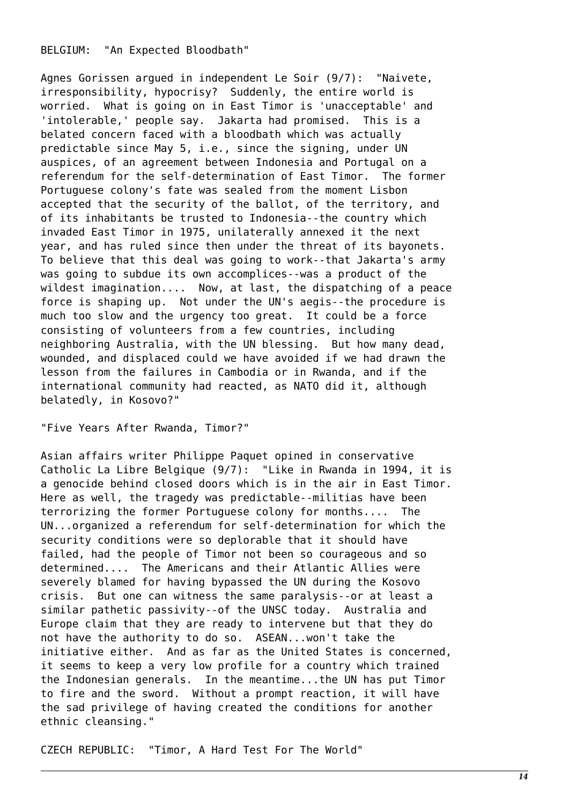# BELGIUM: "An Expected Bloodbath"

Agnes Gorissen argued in independent Le Soir (9/7): "Naivete, irresponsibility, hypocrisy? Suddenly, the entire world is worried. What is going on in East Timor is 'unacceptable' and 'intolerable,' people say. Jakarta had promised. This is a belated concern faced with a bloodbath which was actually predictable since May 5, i.e., since the signing, under UN auspices, of an agreement between Indonesia and Portugal on a referendum for the self-determination of East Timor. The former Portuguese colony's fate was sealed from the moment Lisbon accepted that the security of the ballot, of the territory, and of its inhabitants be trusted to Indonesia--the country which invaded East Timor in 1975, unilaterally annexed it the next year, and has ruled since then under the threat of its bayonets. To believe that this deal was going to work--that Jakarta's army was going to subdue its own accomplices--was a product of the wildest imagination.... Now, at last, the dispatching of a peace force is shaping up. Not under the UN's aegis--the procedure is much too slow and the urgency too great. It could be a force consisting of volunteers from a few countries, including neighboring Australia, with the UN blessing. But how many dead, wounded, and displaced could we have avoided if we had drawn the lesson from the failures in Cambodia or in Rwanda, and if the international community had reacted, as NATO did it, although belatedly, in Kosovo?"

"Five Years After Rwanda, Timor?"

Asian affairs writer Philippe Paquet opined in conservative Catholic La Libre Belgique (9/7): "Like in Rwanda in 1994, it is a genocide behind closed doors which is in the air in East Timor. Here as well, the tragedy was predictable--militias have been terrorizing the former Portuguese colony for months.... The UN...organized a referendum for self-determination for which the security conditions were so deplorable that it should have failed, had the people of Timor not been so courageous and so determined.... The Americans and their Atlantic Allies were severely blamed for having bypassed the UN during the Kosovo crisis. But one can witness the same paralysis--or at least a similar pathetic passivity--of the UNSC today. Australia and Europe claim that they are ready to intervene but that they do not have the authority to do so. ASEAN...won't take the initiative either. And as far as the United States is concerned, it seems to keep a very low profile for a country which trained the Indonesian generals. In the meantime...the UN has put Timor to fire and the sword. Without a prompt reaction, it will have the sad privilege of having created the conditions for another ethnic cleansing."

CZECH REPUBLIC: "Timor, A Hard Test For The World"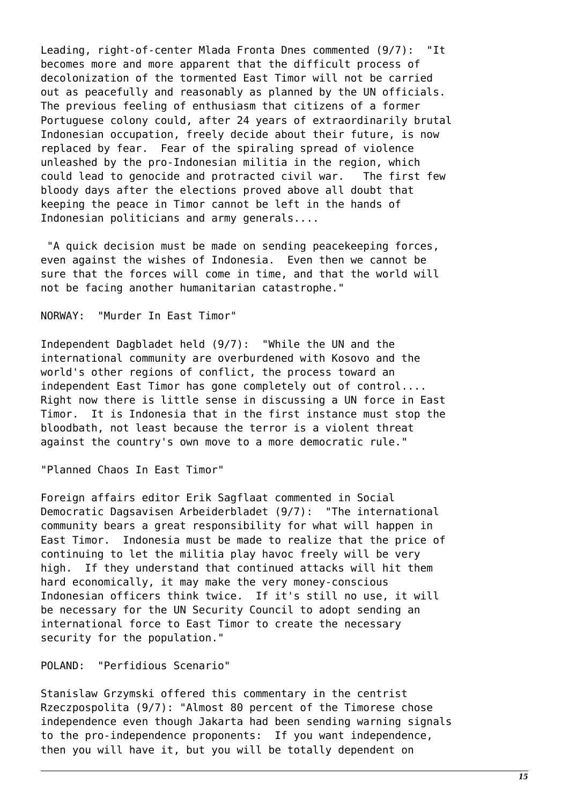Leading, right-of-center Mlada Fronta Dnes commented (9/7): "It becomes more and more apparent that the difficult process of decolonization of the tormented East Timor will not be carried out as peacefully and reasonably as planned by the UN officials. The previous feeling of enthusiasm that citizens of a former Portuguese colony could, after 24 years of extraordinarily brutal Indonesian occupation, freely decide about their future, is now replaced by fear. Fear of the spiraling spread of violence unleashed by the pro-Indonesian militia in the region, which could lead to genocide and protracted civil war. The first few bloody days after the elections proved above all doubt that keeping the peace in Timor cannot be left in the hands of Indonesian politicians and army generals....

 "A quick decision must be made on sending peacekeeping forces, even against the wishes of Indonesia. Even then we cannot be sure that the forces will come in time, and that the world will not be facing another humanitarian catastrophe."

NORWAY: "Murder In East Timor"

Independent Dagbladet held (9/7): "While the UN and the international community are overburdened with Kosovo and the world's other regions of conflict, the process toward an independent East Timor has gone completely out of control.... Right now there is little sense in discussing a UN force in East Timor. It is Indonesia that in the first instance must stop the bloodbath, not least because the terror is a violent threat against the country's own move to a more democratic rule."

"Planned Chaos In East Timor"

Foreign affairs editor Erik Sagflaat commented in Social Democratic Dagsavisen Arbeiderbladet (9/7): "The international community bears a great responsibility for what will happen in East Timor. Indonesia must be made to realize that the price of continuing to let the militia play havoc freely will be very high. If they understand that continued attacks will hit them hard economically, it may make the very money-conscious Indonesian officers think twice. If it's still no use, it will be necessary for the UN Security Council to adopt sending an international force to East Timor to create the necessary security for the population."

POLAND: "Perfidious Scenario"

Stanislaw Grzymski offered this commentary in the centrist Rzeczpospolita (9/7): "Almost 80 percent of the Timorese chose independence even though Jakarta had been sending warning signals to the pro-independence proponents: If you want independence, then you will have it, but you will be totally dependent on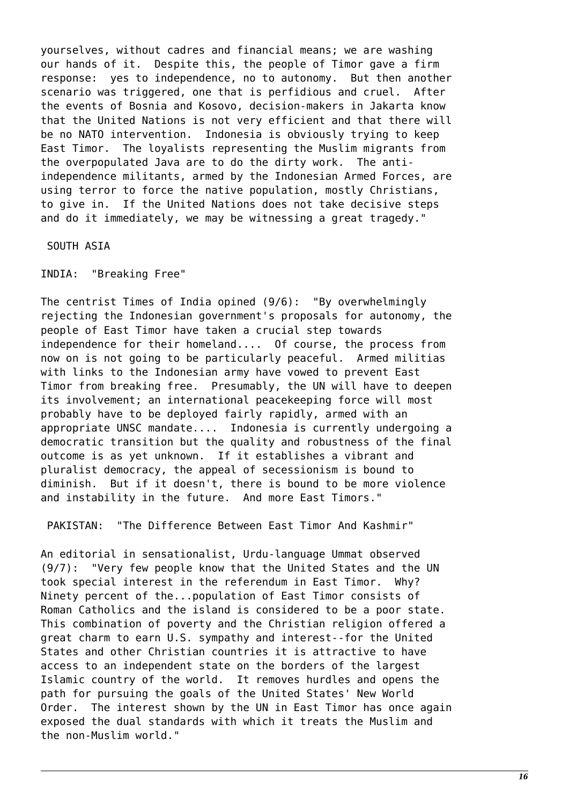yourselves, without cadres and financial means; we are washing our hands of it. Despite this, the people of Timor gave a firm response: yes to independence, no to autonomy. But then another scenario was triggered, one that is perfidious and cruel. After the events of Bosnia and Kosovo, decision-makers in Jakarta know that the United Nations is not very efficient and that there will be no NATO intervention. Indonesia is obviously trying to keep East Timor. The loyalists representing the Muslim migrants from the overpopulated Java are to do the dirty work. The antiindependence militants, armed by the Indonesian Armed Forces, are using terror to force the native population, mostly Christians, to give in. If the United Nations does not take decisive steps and do it immediately, we may be witnessing a great tragedy."

SOUTH ASIA

INDIA: "Breaking Free"

The centrist Times of India opined (9/6): "By overwhelmingly rejecting the Indonesian government's proposals for autonomy, the people of East Timor have taken a crucial step towards independence for their homeland.... Of course, the process from now on is not going to be particularly peaceful. Armed militias with links to the Indonesian army have vowed to prevent East Timor from breaking free. Presumably, the UN will have to deepen its involvement; an international peacekeeping force will most probably have to be deployed fairly rapidly, armed with an appropriate UNSC mandate.... Indonesia is currently undergoing a democratic transition but the quality and robustness of the final outcome is as yet unknown. If it establishes a vibrant and pluralist democracy, the appeal of secessionism is bound to diminish. But if it doesn't, there is bound to be more violence and instability in the future. And more East Timors."

PAKISTAN: "The Difference Between East Timor And Kashmir"

An editorial in sensationalist, Urdu-language Ummat observed (9/7): "Very few people know that the United States and the UN took special interest in the referendum in East Timor. Why? Ninety percent of the...population of East Timor consists of Roman Catholics and the island is considered to be a poor state. This combination of poverty and the Christian religion offered a great charm to earn U.S. sympathy and interest--for the United States and other Christian countries it is attractive to have access to an independent state on the borders of the largest Islamic country of the world. It removes hurdles and opens the path for pursuing the goals of the United States' New World Order. The interest shown by the UN in East Timor has once again exposed the dual standards with which it treats the Muslim and the non-Muslim world."